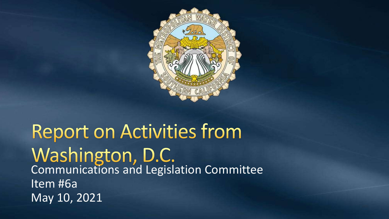

# **Report on Activities from** Washington, D.C.<br>Communications and Legislation Committee Item #6a May 10, 2021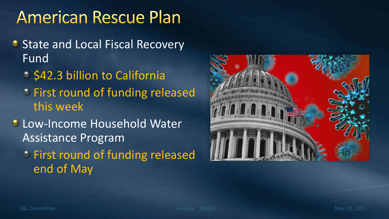### **American Rescue Plan**

- **State and Local Fiscal Recovery** Fund
	- **S42.3 billion to California**
	- *C* First round of funding released this week
- **C** Low-Income Household Water Assistance Program
	- First round of funding released end of May

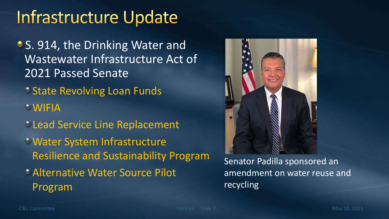### Infrastructure Update

- **S. 914, the Drinking Water and** Wastewater Infrastructure Act of 2021 Passed Senate
	- **State Revolving Loan Funds**
	- WIFIA
	- **Lead Service Line Replacement**
	- Water System Infrastructure Resilience and Sustainability Program
	- Alternative Water Source Pilot Program



Senator Padilla sponsored an amendment on water reuse and recycling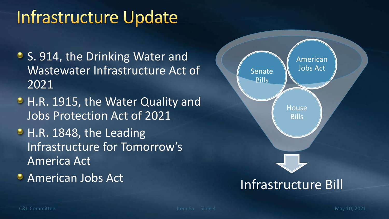### Infrastructure Update

- **S. 914, the Drinking Water and** Wastewater Infrastructure Act of 2021
- H.R. 1915, the Water Quality and Jobs Protection Act of 2021
- H.R. 1848, the Leading Infrastructure for Tomorrow's America Act
- 

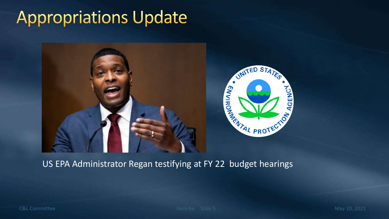## **Appropriations Update**



#### US EPA Administrator Regan testifying at FY 22 budget hearings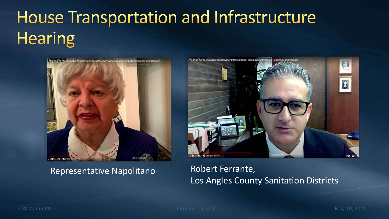# **House Transportation and Infrastructure Hearing**



### Representative Napolitano Robert Ferrante,



## Los Angles County Sanitation Districts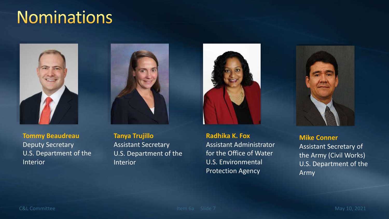### **Nominations**





**Tommy Beaudreau** Deputy Secretary U.S. Department of the Interior

**Tanya Trujillo** Assistant Secretary U.S. Department of the **Interior** 

**Radhika K. Fox** Assistant Administrator for the Office of Water U.S. Environmental Protection Agency



**Mike Conner** Assistant Secretary of the Army (Civil Works) U.S. Department of the Army